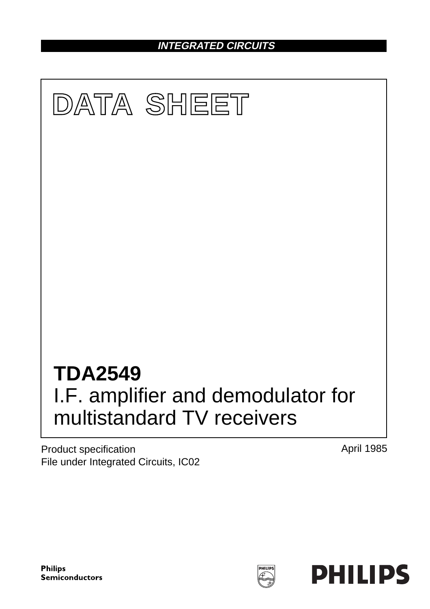**INTEGRATED CIRCUITS**



Product specification File under Integrated Circuits, IC02 April 1985

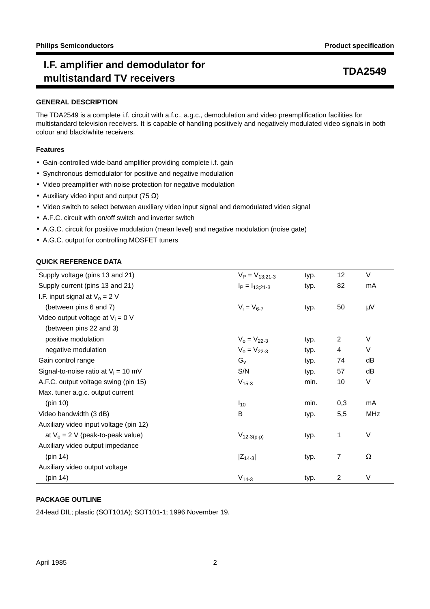# **I.F. amplifier and demodulator for** mediate and demodulated for the temperature of the temperature of the temperature of the temperature of the tempe<br>multistandard TV receivers

### **GENERAL DESCRIPTION**

The TDA2549 is a complete i.f. circuit with a.f.c., a.g.c., demodulation and video preamplification facilities for multistandard television receivers. It is capable of handling positively and negatively modulated video signals in both colour and black/white receivers.

## **Features**

- Gain-controlled wide-band amplifier providing complete i.f. gain
- Synchronous demodulator for positive and negative modulation
- Video preamplifier with noise protection for negative modulation
- Auxiliary video input and output (75  $\Omega$ )
- Video switch to select between auxiliary video input signal and demodulated video signal
- A.F.C. circuit with on/off switch and inverter switch
- A.G.C. circuit for positive modulation (mean level) and negative modulation (noise gate)
- A.G.C. output for controlling MOSFET tuners

### **QUICK REFERENCE DATA**

| Supply voltage (pins 13 and 21)        | $V_P = V_{13:21-3}$ | typ. | 12             | $\vee$ |
|----------------------------------------|---------------------|------|----------------|--------|
| Supply current (pins 13 and 21)        | $I_P = I_{13;21-3}$ | typ. | 82             | mA     |
| I.F. input signal at $V_0 = 2 V$       |                     |      |                |        |
| (between pins 6 and 7)                 | $V_i = V_{6-7}$     | typ. | 50             | μV     |
| Video output voltage at $V_i = 0$ V    |                     |      |                |        |
| (between pins 22 and 3)                |                     |      |                |        |
| positive modulation                    | $V_0 = V_{22-3}$    | typ. | 2              | V      |
| negative modulation                    | $V_0 = V_{22-3}$    | typ. | 4              | V      |
| Gain control range                     | $G_v$               | typ. | 74             | dB     |
| Signal-to-noise ratio at $V_i = 10$ mV | S/N                 | typ. | 57             | dB     |
| A.F.C. output voltage swing (pin 15)   | $V_{15-3}$          | min. | 10             | V      |
| Max. tuner a.g.c. output current       |                     |      |                |        |
| (pin 10)                               | $I_{10}$            | min. | 0,3            | mA     |
| Video bandwidth (3 dB)                 | B                   | typ. | 5,5            | MHz    |
| Auxiliary video input voltage (pin 12) |                     |      |                |        |
| at $V_0 = 2 V$ (peak-to-peak value)    | $V_{12-3(p-p)}$     | typ. | 1              | $\vee$ |
| Auxiliary video output impedance       |                     |      |                |        |
| (pin 14)                               | $ Z_{14-3} $        | typ. | 7              | Ω      |
| Auxiliary video output voltage         |                     |      |                |        |
| (pin 14)                               | $V_{14-3}$          | typ. | $\overline{2}$ | $\vee$ |

## **PACKAGE OUTLINE**

24-lead DIL; plastic (SOT101A); SOT101-1; 1996 November 19.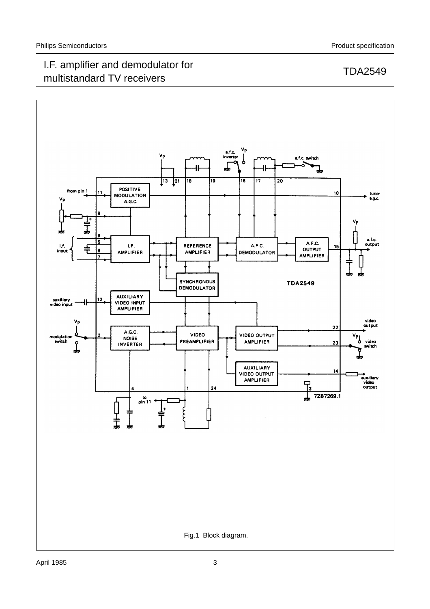## I.F. amplifier and demodulator for n.e. amplifier and demodulator for the state of the two transmitted to the transmitted to the transmitted of t<br>multistandard TV receivers

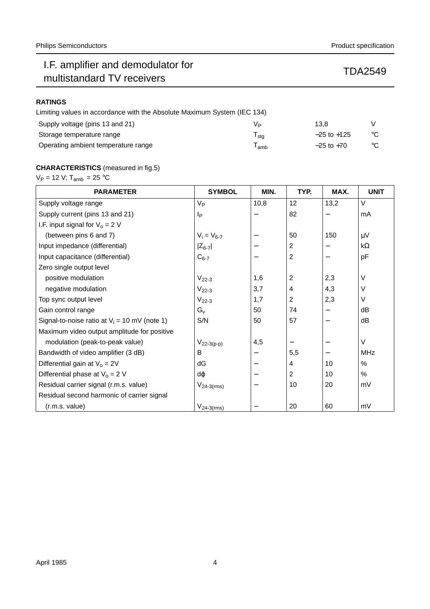# I.F. amplifier and demodulator for n.e. amplifier and demodulator for<br>multistandard TV receivers TDA2549

## **RATINGS**

| Limiting values in accordance with the Absolute Maximum System (IEC 134) |     |                 |              |
|--------------------------------------------------------------------------|-----|-----------------|--------------|
| Supply voltage (pins 13 and 21)                                          | Vь  | 13.8            |              |
| Storage temperature range                                                | sta | $-25$ to $+125$ | $^{\circ}$ C |
| Operating ambient temperature range                                      | amb | $-25$ to $+70$  | $^{\circ}$ C |

## **CHARACTERISTICS** (measured in fig.5)

 $V_P = 12$  V;  $T_{amb} = 25$  °C

| <b>PARAMETER</b>                                | <b>SYMBOL</b>    | MIN. | TYP.           | MAX. | <b>UNIT</b> |
|-------------------------------------------------|------------------|------|----------------|------|-------------|
| Supply voltage range                            | $V_{\mathsf{P}}$ | 10,8 | 12             | 13,2 | $\vee$      |
| Supply current (pins 13 and 21)                 | Iр               |      | 82             |      | mA          |
| I.F. input signal for $V_0 = 2 V$               |                  |      |                |      |             |
| (between pins 6 and 7)                          | $V_i = V_{6-7}$  |      | 50             | 150  | $\mu$ V     |
| Input impedance (differential)                  | $ Z_{6-7} $      |      | 2              | —    | $k\Omega$   |
| Input capacitance (differential)                | $C_{6-7}$        |      | $\overline{2}$ |      | pF          |
| Zero single output level                        |                  |      |                |      |             |
| positive modulation                             | $V_{22-3}$       | 1,6  | 2              | 2,3  | $\vee$      |
| negative modulation                             | $V_{22-3}$       | 3,7  | 4              | 4,3  | $\vee$      |
| Top sync output level                           | $V_{22-3}$       | 1,7  | $\overline{2}$ | 2,3  | V           |
| Gain control range                              | $G_v$            | 50   | 74             | —    | dВ          |
| Signal-to-noise ratio at $V_i = 10$ mV (note 1) | S/N              | 50   | 57             |      | dB          |
| Maximum video output amplitude for positive     |                  |      |                |      |             |
| modulation (peak-to-peak value)                 | $V_{22-3(p-p)}$  | 4,5  |                |      | $\vee$      |
| Bandwidth of video amplifier (3 dB)             | B                |      | 5,5            |      | <b>MHz</b>  |
| Differential gain at $V_0 = 2V$                 | dG               |      | 4              | 10   | $\%$        |
| Differential phase at $V_0 = 2$ V               | dφ               |      | 2              | 10   | %           |
| Residual carrier signal (r.m.s. value)          | $V_{24-3(rms)}$  |      | 10             | 20   | mV          |
| Residual second harmonic of carrier signal      |                  |      |                |      |             |
| (r.m.s. value)                                  | $V_{24-3(rms)}$  |      | 20             | 60   | mV          |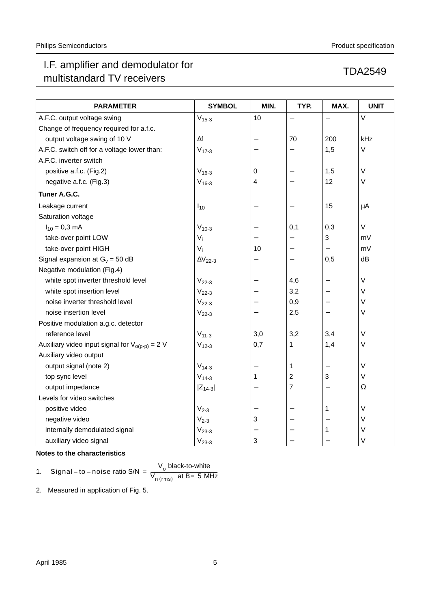# I.F. amplifier and demodulator for T.F. amplifier and demodulator for<br>multistandard TV receivers TDA2549

| Product specification |
|-----------------------|
|                       |

| <b>PARAMETER</b>                                    | <b>SYMBOL</b>         | MIN.                     | TYP.                     | MAX.                     | <b>UNIT</b> |
|-----------------------------------------------------|-----------------------|--------------------------|--------------------------|--------------------------|-------------|
| A.F.C. output voltage swing                         | $V_{15-3}$            | 10                       |                          | $\overline{\phantom{0}}$ | $\vee$      |
| Change of frequency required for a.f.c.             |                       |                          |                          |                          |             |
| output voltage swing of 10 V                        | $\Delta f$            | $\qquad \qquad -$        | 70                       | 200                      | kHz         |
| A.F.C. switch off for a voltage lower than:         | $V_{17-3}$            |                          |                          | 1,5                      | V           |
| A.F.C. inverter switch                              |                       |                          |                          |                          |             |
| positive a.f.c. (Fig.2)                             | $V_{16-3}$            | 0                        |                          | 1,5                      | $\vee$      |
| negative a.f.c. (Fig.3)                             | $V_{16-3}$            | 4                        |                          | 12                       | $\vee$      |
| Tuner A.G.C.                                        |                       |                          |                          |                          |             |
| Leakage current                                     | $I_{10}$              |                          |                          | 15                       | μA          |
| Saturation voltage                                  |                       |                          |                          |                          |             |
| $I_{10} = 0.3$ mA                                   | $V_{10-3}$            |                          | 0,1                      | 0,3                      | V           |
| take-over point LOW                                 | $V_i$                 |                          | $\overline{\phantom{0}}$ | 3                        | mV          |
| take-over point HIGH                                | $V_i$                 | 10                       | —                        | —                        | mV          |
| Signal expansion at $G_v = 50$ dB                   | $\Delta\rm{V_{22-3}}$ |                          |                          | 0,5                      | dB          |
| Negative modulation (Fig.4)                         |                       |                          |                          |                          |             |
| white spot inverter threshold level                 | $V22-3$               |                          | 4,6                      | $\overline{\phantom{0}}$ | $\vee$      |
| white spot insertion level                          | $V_{22-3}$            |                          | 3,2                      |                          | V           |
| noise inverter threshold level                      | $V22-3$               |                          | 0,9                      | —                        | V           |
| noise insertion level                               | $V22-3$               |                          | 2,5                      | $\overline{\phantom{0}}$ | V           |
| Positive modulation a.g.c. detector                 |                       |                          |                          |                          |             |
| reference level                                     | $V_{11-3}$            | 3,0                      | 3,2                      | 3,4                      | V           |
| Auxiliary video input signal for $V_{o(p-p)} = 2 V$ | $V_{12-3}$            | 0,7                      | 1                        | 1,4                      | $\vee$      |
| Auxiliary video output                              |                       |                          |                          |                          |             |
| output signal (note 2)                              | $V_{14-3}$            |                          | 1                        |                          | $\vee$      |
| top sync level                                      | $V_{14-3}$            | 1                        | $\overline{c}$           | 3                        | V           |
| output impedance                                    | $ Z_{14-3} $          | $\overline{\phantom{0}}$ | 7                        | $\overline{\phantom{0}}$ | Ω           |
| Levels for video switches                           |                       |                          |                          |                          |             |
| positive video                                      | $V_{2-3}$             |                          |                          | 1                        | V           |
| negative video                                      | $V_{2-3}$             | 3                        |                          |                          | $\vee$      |
| internally demodulated signal                       | $V_{23-3}$            |                          |                          | $\mathbf 1$              | V           |
| auxiliary video signal                              | $V_{23-3}$            | 3                        |                          |                          | V           |

## **Notes to the characteristics**

1. Signal – to – noise ratio S/N = 
$$
\frac{V_o \text{ black-to-white}}{V_{n(rms)} \text{ at B= 5 MHz}}
$$

2. Measured in application of Fig. 5.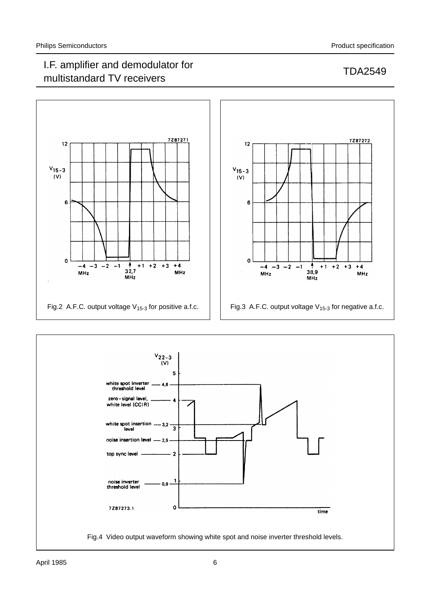## I.F. amplifier and demodulator for multistandard TV receivers TDA2549



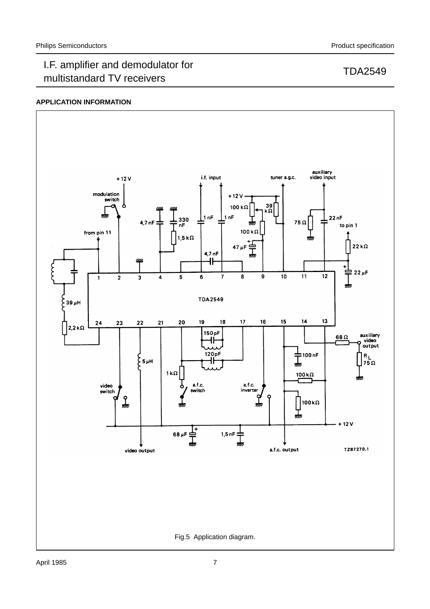## I.F. amplifier and demodulator for n.e. amplifier and demodulator for the state of the two transmitted to the transmitted to the transmitted of t<br>multistandard TV receivers

## **APPLICATION INFORMATION**

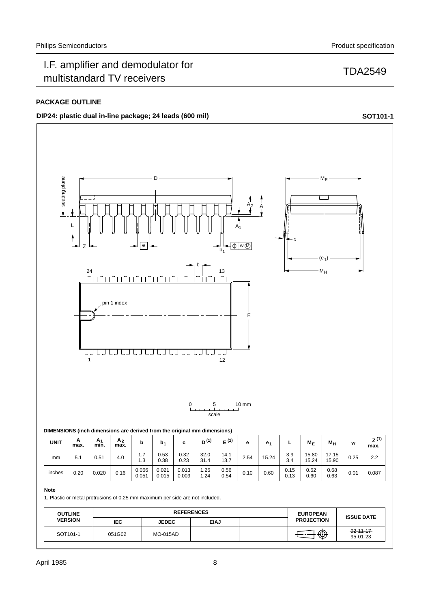# I.F. amplifier and demodulator for n.e. amplifier and demodulator for the state of the two transmitted to the transmitted to the transmitted of t<br>multistandard TV receivers

## **PACKAGE OUTLINE**

## **DIP24:** plastic dual in-line package; 24 leads (600 mil) **SOT101-1 SOT101-1**



| <b>UNIT</b> | A<br>max. | A <sub>1</sub><br>min. | A <sub>2</sub><br>max. |                                                        | b.             |                | 11.<br>יים   | (1)<br>ш.    | е    | е.    | -            | $M_F$          | Мu             | w    | 2 W<br>max. |
|-------------|-----------|------------------------|------------------------|--------------------------------------------------------|----------------|----------------|--------------|--------------|------|-------|--------------|----------------|----------------|------|-------------|
| mm          | 5.1       | 0.51                   | 4.0                    | $\overline{ }$<br>$\mathbf{1} \cdot \mathbf{1}$<br>1.3 | 0.53<br>0.38   | 0.32<br>0.23   | 32.0<br>31.4 | 14.1<br>13.7 | 2.54 | 15.24 | 3.9<br>3.4   | 15.80<br>15.24 | 17.15<br>15.90 | 0.25 | 2.2         |
| inches      | 0.20      | 0.020                  | 0.16                   | 0.066<br>0.051                                         | 0.021<br>0.015 | 0.013<br>0.009 | .26<br>.24   | 0.56<br>0.54 | 0.10 | 0.60  | 0.15<br>0.13 | 0.62<br>0.60   | 0.68<br>0.63   | 0.01 | 0.087       |

#### **Note**

1. Plastic or metal protrusions of 0.25 mm maximum per side are not included.

| <b>OUTLINE</b>       |            | <b>REFERENCES</b> | <b>EUROPEAN</b> | <b>ISSUE DATE</b> |                   |                             |
|----------------------|------------|-------------------|-----------------|-------------------|-------------------|-----------------------------|
| <b>VERSION</b>       | <b>IEC</b> | <b>JEDEC</b>      | <b>EIAJ</b>     |                   | <b>PROJECTION</b> |                             |
| SOT <sub>101-1</sub> | 051G02     | <b>MO-015AD</b>   |                 |                   | ⊕                 | $-92 - 11 - 17$<br>95-01-23 |